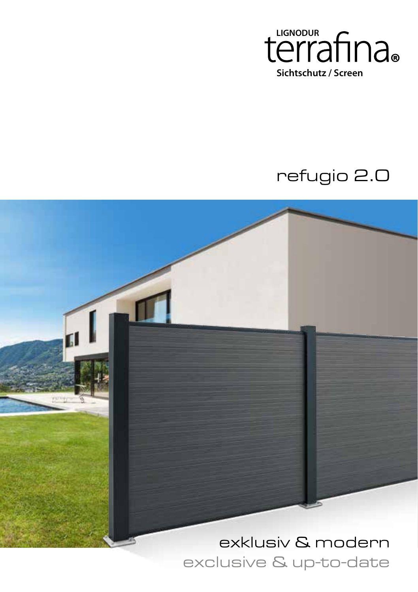

## refugio 2.0



exclusive & up-to-date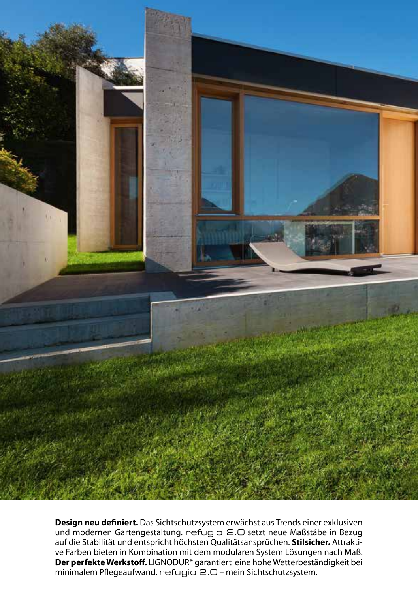

**Design neu definiert.** Das Sichtschutzsystem erwächst aus Trends einer exklusiven und modernen Gartengestaltung. refugio 2.0 setzt neue Maßstäbe in Bezug auf die Stabilität und entspricht höchsten Qualitätsansprüchen. **Stilsicher.** Attraktive Farben bieten in Kombination mit dem modularen System Lösungen nach Maß. **Der perfekte Werkstoff.** LIGNODUR® garantiert eine hohe Wetterbeständigkeit bei minimalem Pflegeaufwand. refugio 2.0 – mein Sichtschutzsystem.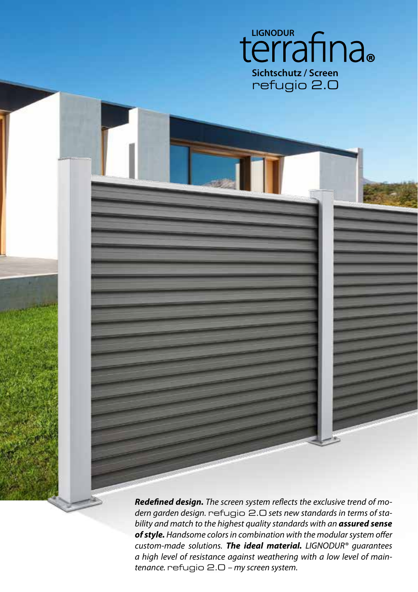

**Redefined design.** The screen system reflects the exclusive trend of modern garden design. refugio 2.0 sets new standards in terms of stability and match to the highest quality standards with an **assured sense of style.** Handsome colors in combination with the modular system offer custom-made solutions. **The ideal material.** LIGNODUR® guarantees a high level of resistance against weathering with a low level of maintenance. refugio 2.0 – my screen system.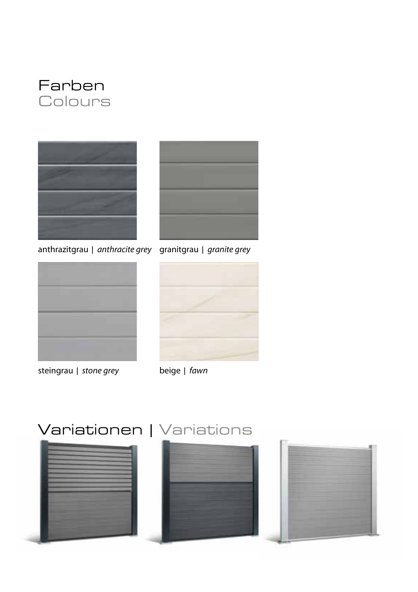



anthrazitgrau | anthracite grey granitgrau | granite grey





steingrau | stone grey beige | fawn



# Variationen | Variations





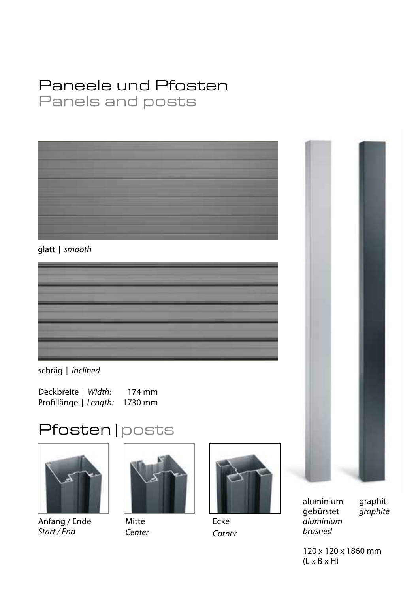### Paneele und Pfosten Panels and posts



glatt | smooth

schräg | inclined

Deckbreite | Width: 174 mm Profillänge | Length: 1730 mm





Anfang / Ende Start / End



Mitte Center



Ecke Corner



brushed

graphit graphite

120 x 120 x 1860 mm  $(L \times B \times H)$ 

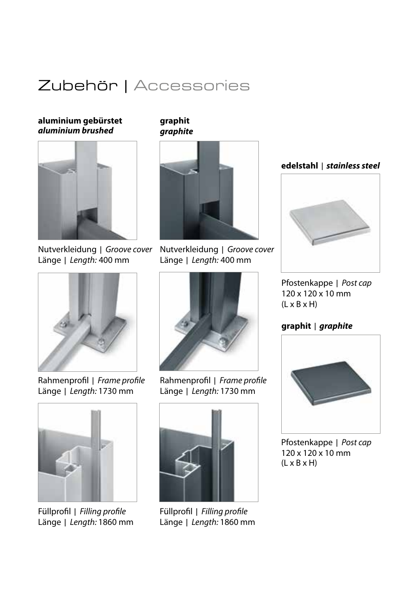### Zubehör | Accessories

**aluminium gebürstet aluminium brushed**



Nutverkleidung | Groove cover Länge | Length: 400 mm



Rahmenprofil | Frame profile Länge | Length: 1730 mm



Füllprofil | Filling profile Länge | Length: 1860 mm

**graphit graphite**



Nutverkleidung | Groove cover Länge | Length: 400 mm



Rahmenprofil | Frame profile Länge | Length: 1730 mm



Füllprofil | Filling profile Länge | Length: 1860 mm

### **edelstahl** | **stainless steel**



Pfostenkappe | Post cap 120 x 120 x 10 mm  $(I \times B \times H)$ 

#### **graphit** | **graphite**



Pfostenkappe | Post cap 120 x 120 x 10 mm  $(L \times B \times H)$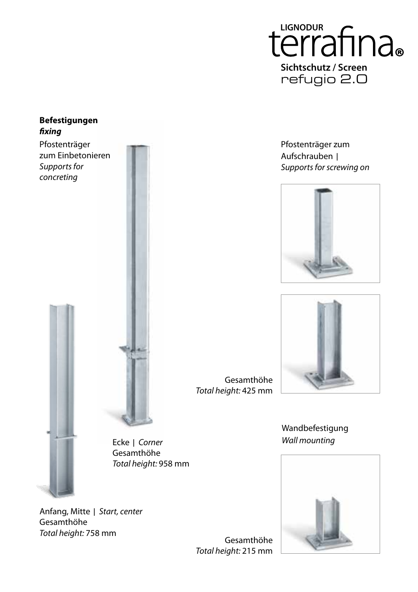

#### **Befestigungen fixing**

Pfostenträger zum Einbetonieren Supports for concreting



Anfang, Mitte | Start, center Gesamthöhe Total height: 758 mm

Gesamthöhe Total height: 425 mm

Ecke | Corner Gesamthöhe Total height: 958 mm

> Gesamthöhe Total height: 215 mm







Wandbefestigung Wall mounting